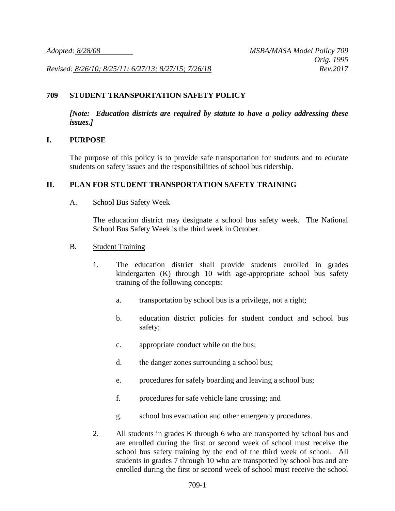*Revised: 8/26/10; 8/25/11; 6/27/13; 8/27/15; 7/26/18 Rev.2017*

### **709 STUDENT TRANSPORTATION SAFETY POLICY**

*[Note: Education districts are required by statute to have a policy addressing these issues.]*

#### **I. PURPOSE**

The purpose of this policy is to provide safe transportation for students and to educate students on safety issues and the responsibilities of school bus ridership.

#### **II. PLAN FOR STUDENT TRANSPORTATION SAFETY TRAINING**

#### A. School Bus Safety Week

The education district may designate a school bus safety week. The National School Bus Safety Week is the third week in October.

#### B. Student Training

- 1. The education district shall provide students enrolled in grades kindergarten (K) through 10 with age-appropriate school bus safety training of the following concepts:
	- a. transportation by school bus is a privilege, not a right;
	- b. education district policies for student conduct and school bus safety;
	- c. appropriate conduct while on the bus;
	- d. the danger zones surrounding a school bus;
	- e. procedures for safely boarding and leaving a school bus;
	- f. procedures for safe vehicle lane crossing; and
	- g. school bus evacuation and other emergency procedures.
- 2. All students in grades K through 6 who are transported by school bus and are enrolled during the first or second week of school must receive the school bus safety training by the end of the third week of school. All students in grades 7 through 10 who are transported by school bus and are enrolled during the first or second week of school must receive the school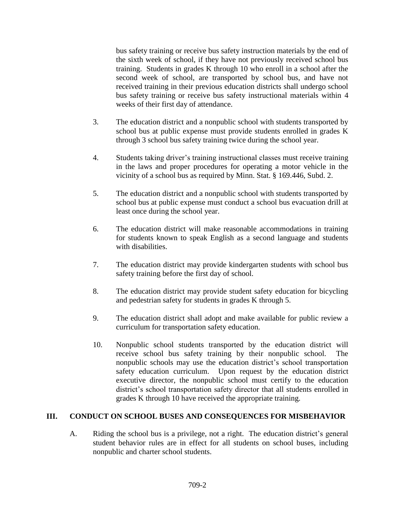bus safety training or receive bus safety instruction materials by the end of the sixth week of school, if they have not previously received school bus training. Students in grades K through 10 who enroll in a school after the second week of school, are transported by school bus, and have not received training in their previous education districts shall undergo school bus safety training or receive bus safety instructional materials within 4 weeks of their first day of attendance.

- 3. The education district and a nonpublic school with students transported by school bus at public expense must provide students enrolled in grades K through 3 school bus safety training twice during the school year.
- 4. Students taking driver's training instructional classes must receive training in the laws and proper procedures for operating a motor vehicle in the vicinity of a school bus as required by Minn. Stat. § 169.446, Subd. 2.
- 5. The education district and a nonpublic school with students transported by school bus at public expense must conduct a school bus evacuation drill at least once during the school year.
- 6. The education district will make reasonable accommodations in training for students known to speak English as a second language and students with disabilities.
- 7. The education district may provide kindergarten students with school bus safety training before the first day of school.
- 8. The education district may provide student safety education for bicycling and pedestrian safety for students in grades K through 5.
- 9. The education district shall adopt and make available for public review a curriculum for transportation safety education.
- 10. Nonpublic school students transported by the education district will receive school bus safety training by their nonpublic school. The nonpublic schools may use the education district's school transportation safety education curriculum. Upon request by the education district executive director, the nonpublic school must certify to the education district's school transportation safety director that all students enrolled in grades K through 10 have received the appropriate training.

## **III. CONDUCT ON SCHOOL BUSES AND CONSEQUENCES FOR MISBEHAVIOR**

A. Riding the school bus is a privilege, not a right. The education district's general student behavior rules are in effect for all students on school buses, including nonpublic and charter school students.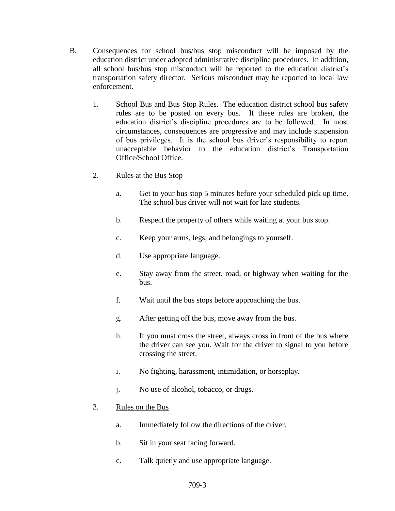- B. Consequences for school bus/bus stop misconduct will be imposed by the education district under adopted administrative discipline procedures. In addition, all school bus/bus stop misconduct will be reported to the education district's transportation safety director. Serious misconduct may be reported to local law enforcement.
	- 1. School Bus and Bus Stop Rules. The education district school bus safety rules are to be posted on every bus. If these rules are broken, the education district's discipline procedures are to be followed. In most circumstances, consequences are progressive and may include suspension of bus privileges. It is the school bus driver's responsibility to report unacceptable behavior to the education district's Transportation Office/School Office.
	- 2. Rules at the Bus Stop
		- a. Get to your bus stop 5 minutes before your scheduled pick up time. The school bus driver will not wait for late students.
		- b. Respect the property of others while waiting at your bus stop.
		- c. Keep your arms, legs, and belongings to yourself.
		- d. Use appropriate language.
		- e. Stay away from the street, road, or highway when waiting for the bus.
		- f. Wait until the bus stops before approaching the bus.
		- g. After getting off the bus, move away from the bus.
		- h. If you must cross the street, always cross in front of the bus where the driver can see you. Wait for the driver to signal to you before crossing the street.
		- i. No fighting, harassment, intimidation, or horseplay.
		- j. No use of alcohol, tobacco, or drugs.

## 3. Rules on the Bus

- a. Immediately follow the directions of the driver.
- b. Sit in your seat facing forward.
- c. Talk quietly and use appropriate language.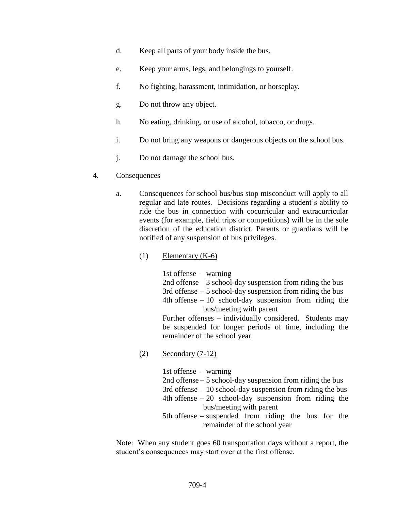- d. Keep all parts of your body inside the bus.
- e. Keep your arms, legs, and belongings to yourself.
- f. No fighting, harassment, intimidation, or horseplay.
- g. Do not throw any object.
- h. No eating, drinking, or use of alcohol, tobacco, or drugs.
- i. Do not bring any weapons or dangerous objects on the school bus.
- j. Do not damage the school bus.

#### 4. Consequences

- a. Consequences for school bus/bus stop misconduct will apply to all regular and late routes. Decisions regarding a student's ability to ride the bus in connection with cocurricular and extracurricular events (for example, field trips or competitions) will be in the sole discretion of the education district. Parents or guardians will be notified of any suspension of bus privileges.
	- $(1)$  Elementary  $(K-6)$

1st offense – warning

2nd offense – 3 school-day suspension from riding the bus 3rd offense  $-5$  school-day suspension from riding the bus 4th offense  $-10$  school-day suspension from riding the bus/meeting with parent

Further offenses – individually considered. Students may be suspended for longer periods of time, including the remainder of the school year.

(2) Secondary (7-12)

| 1st offense $-$ warning                                     |
|-------------------------------------------------------------|
| 2nd offense $-5$ school-day suspension from riding the bus  |
| 3rd offense $-10$ school-day suspension from riding the bus |
| 4th offense $-20$ school-day suspension from riding the     |
| bus/meeting with parent                                     |
| $5th$ offense – suspended from riding the bus for the       |
| remainder of the school year                                |

Note: When any student goes 60 transportation days without a report, the student's consequences may start over at the first offense.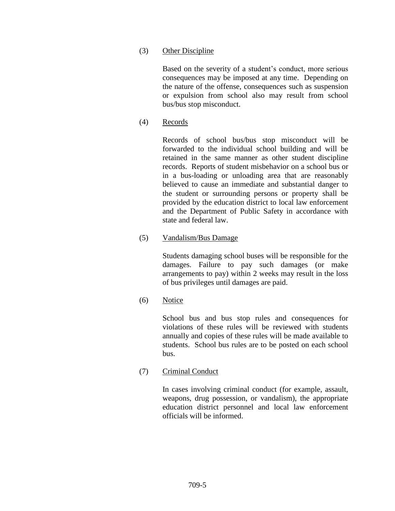### (3) Other Discipline

Based on the severity of a student's conduct, more serious consequences may be imposed at any time. Depending on the nature of the offense, consequences such as suspension or expulsion from school also may result from school bus/bus stop misconduct.

(4) Records

Records of school bus/bus stop misconduct will be forwarded to the individual school building and will be retained in the same manner as other student discipline records. Reports of student misbehavior on a school bus or in a bus-loading or unloading area that are reasonably believed to cause an immediate and substantial danger to the student or surrounding persons or property shall be provided by the education district to local law enforcement and the Department of Public Safety in accordance with state and federal law.

(5) Vandalism/Bus Damage

Students damaging school buses will be responsible for the damages. Failure to pay such damages (or make arrangements to pay) within 2 weeks may result in the loss of bus privileges until damages are paid.

(6) Notice

School bus and bus stop rules and consequences for violations of these rules will be reviewed with students annually and copies of these rules will be made available to students. School bus rules are to be posted on each school bus.

(7) Criminal Conduct

In cases involving criminal conduct (for example, assault, weapons, drug possession, or vandalism), the appropriate education district personnel and local law enforcement officials will be informed.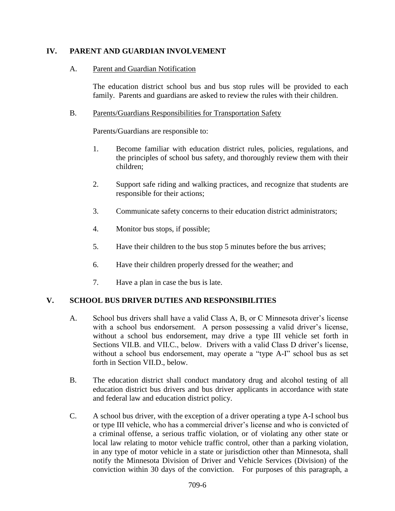### **IV. PARENT AND GUARDIAN INVOLVEMENT**

#### A. Parent and Guardian Notification

The education district school bus and bus stop rules will be provided to each family. Parents and guardians are asked to review the rules with their children.

#### B. Parents/Guardians Responsibilities for Transportation Safety

Parents/Guardians are responsible to:

- 1. Become familiar with education district rules, policies, regulations, and the principles of school bus safety, and thoroughly review them with their children;
- 2. Support safe riding and walking practices, and recognize that students are responsible for their actions;
- 3. Communicate safety concerns to their education district administrators;
- 4. Monitor bus stops, if possible;
- 5. Have their children to the bus stop 5 minutes before the bus arrives;
- 6. Have their children properly dressed for the weather; and
- 7. Have a plan in case the bus is late.

#### **V. SCHOOL BUS DRIVER DUTIES AND RESPONSIBILITIES**

- A. School bus drivers shall have a valid Class A, B, or C Minnesota driver's license with a school bus endorsement. A person possessing a valid driver's license, without a school bus endorsement, may drive a type III vehicle set forth in Sections VII.B. and VII.C., below. Drivers with a valid Class D driver's license, without a school bus endorsement, may operate a "type A-I" school bus as set forth in Section VII.D., below.
- B. The education district shall conduct mandatory drug and alcohol testing of all education district bus drivers and bus driver applicants in accordance with state and federal law and education district policy.
- C. A school bus driver, with the exception of a driver operating a type A-I school bus or type III vehicle, who has a commercial driver's license and who is convicted of a criminal offense, a serious traffic violation, or of violating any other state or local law relating to motor vehicle traffic control, other than a parking violation, in any type of motor vehicle in a state or jurisdiction other than Minnesota, shall notify the Minnesota Division of Driver and Vehicle Services (Division) of the conviction within 30 days of the conviction. For purposes of this paragraph, a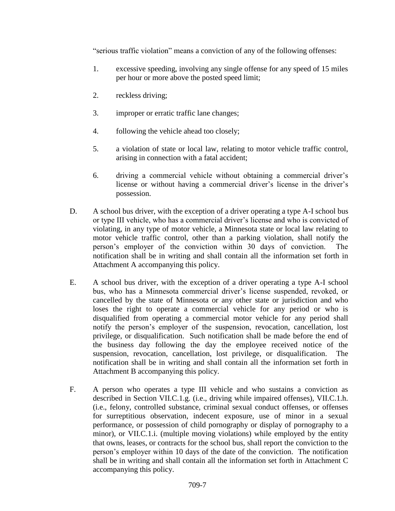"serious traffic violation" means a conviction of any of the following offenses:

- 1. excessive speeding, involving any single offense for any speed of 15 miles per hour or more above the posted speed limit;
- 2. reckless driving;
- 3. improper or erratic traffic lane changes;
- 4. following the vehicle ahead too closely;
- 5. a violation of state or local law, relating to motor vehicle traffic control, arising in connection with a fatal accident;
- 6. driving a commercial vehicle without obtaining a commercial driver's license or without having a commercial driver's license in the driver's possession.
- D. A school bus driver, with the exception of a driver operating a type A-I school bus or type III vehicle, who has a commercial driver's license and who is convicted of violating, in any type of motor vehicle, a Minnesota state or local law relating to motor vehicle traffic control, other than a parking violation, shall notify the person's employer of the conviction within 30 days of conviction. The notification shall be in writing and shall contain all the information set forth in Attachment A accompanying this policy.
- E. A school bus driver, with the exception of a driver operating a type A-I school bus, who has a Minnesota commercial driver's license suspended, revoked, or cancelled by the state of Minnesota or any other state or jurisdiction and who loses the right to operate a commercial vehicle for any period or who is disqualified from operating a commercial motor vehicle for any period shall notify the person's employer of the suspension, revocation, cancellation, lost privilege, or disqualification. Such notification shall be made before the end of the business day following the day the employee received notice of the suspension, revocation, cancellation, lost privilege, or disqualification. The notification shall be in writing and shall contain all the information set forth in Attachment B accompanying this policy.
- F. A person who operates a type III vehicle and who sustains a conviction as described in Section VII.C.1.g. (i.e., driving while impaired offenses), VII.C.1.h. (i.e., felony, controlled substance, criminal sexual conduct offenses, or offenses for surreptitious observation, indecent exposure, use of minor in a sexual performance, or possession of child pornography or display of pornography to a minor), or VII.C.1.i. (multiple moving violations) while employed by the entity that owns, leases, or contracts for the school bus, shall report the conviction to the person's employer within 10 days of the date of the conviction. The notification shall be in writing and shall contain all the information set forth in Attachment C accompanying this policy.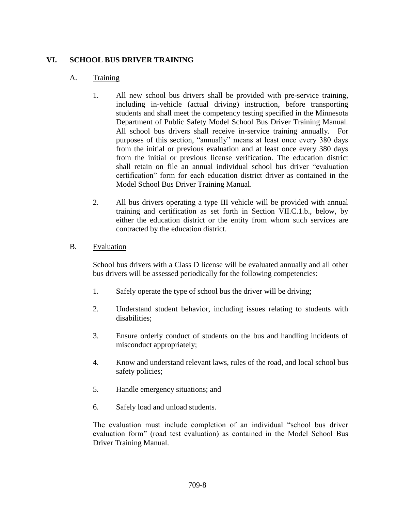## **VI. SCHOOL BUS DRIVER TRAINING**

### A. Training

- 1. All new school bus drivers shall be provided with pre-service training, including in-vehicle (actual driving) instruction, before transporting students and shall meet the competency testing specified in the Minnesota Department of Public Safety Model School Bus Driver Training Manual. All school bus drivers shall receive in-service training annually. For purposes of this section, "annually" means at least once every 380 days from the initial or previous evaluation and at least once every 380 days from the initial or previous license verification. The education district shall retain on file an annual individual school bus driver "evaluation certification" form for each education district driver as contained in the Model School Bus Driver Training Manual.
- 2. All bus drivers operating a type III vehicle will be provided with annual training and certification as set forth in Section VII.C.1.b., below, by either the education district or the entity from whom such services are contracted by the education district.

#### B. Evaluation

School bus drivers with a Class D license will be evaluated annually and all other bus drivers will be assessed periodically for the following competencies:

- 1. Safely operate the type of school bus the driver will be driving;
- 2. Understand student behavior, including issues relating to students with disabilities;
- 3. Ensure orderly conduct of students on the bus and handling incidents of misconduct appropriately;
- 4. Know and understand relevant laws, rules of the road, and local school bus safety policies;
- 5. Handle emergency situations; and
- 6. Safely load and unload students.

The evaluation must include completion of an individual "school bus driver evaluation form" (road test evaluation) as contained in the Model School Bus Driver Training Manual.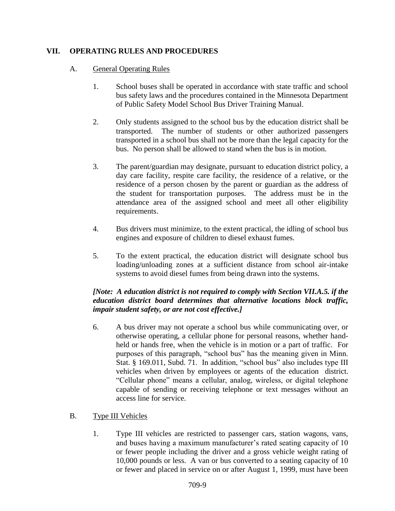### **VII. OPERATING RULES AND PROCEDURES**

#### A. General Operating Rules

- 1. School buses shall be operated in accordance with state traffic and school bus safety laws and the procedures contained in the Minnesota Department of Public Safety Model School Bus Driver Training Manual.
- 2. Only students assigned to the school bus by the education district shall be transported. The number of students or other authorized passengers transported in a school bus shall not be more than the legal capacity for the bus. No person shall be allowed to stand when the bus is in motion.
- 3. The parent/guardian may designate, pursuant to education district policy, a day care facility, respite care facility, the residence of a relative, or the residence of a person chosen by the parent or guardian as the address of the student for transportation purposes. The address must be in the attendance area of the assigned school and meet all other eligibility requirements.
- 4. Bus drivers must minimize, to the extent practical, the idling of school bus engines and exposure of children to diesel exhaust fumes.
- 5. To the extent practical, the education district will designate school bus loading/unloading zones at a sufficient distance from school air-intake systems to avoid diesel fumes from being drawn into the systems.

## *[Note: A education district is not required to comply with Section VII.A.5. if the education district board determines that alternative locations block traffic, impair student safety, or are not cost effective.]*

6. A bus driver may not operate a school bus while communicating over, or otherwise operating, a cellular phone for personal reasons, whether handheld or hands free, when the vehicle is in motion or a part of traffic. For purposes of this paragraph, "school bus" has the meaning given in Minn. Stat. § 169.011, Subd. 71. In addition, "school bus" also includes type III vehicles when driven by employees or agents of the education district. "Cellular phone" means a cellular, analog, wireless, or digital telephone capable of sending or receiving telephone or text messages without an access line for service.

## B. Type III Vehicles

1. Type III vehicles are restricted to passenger cars, station wagons, vans, and buses having a maximum manufacturer's rated seating capacity of 10 or fewer people including the driver and a gross vehicle weight rating of 10,000 pounds or less. A van or bus converted to a seating capacity of 10 or fewer and placed in service on or after August 1, 1999, must have been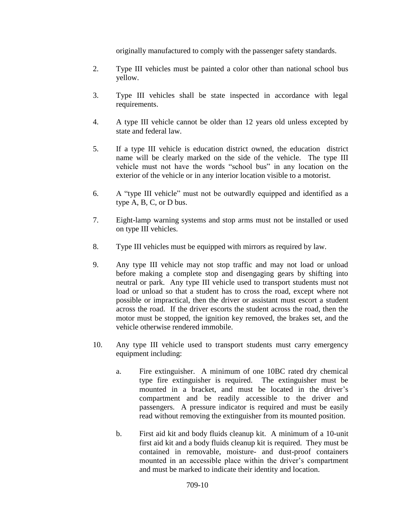originally manufactured to comply with the passenger safety standards.

- 2. Type III vehicles must be painted a color other than national school bus yellow.
- 3. Type III vehicles shall be state inspected in accordance with legal requirements.
- 4. A type III vehicle cannot be older than 12 years old unless excepted by state and federal law.
- 5. If a type III vehicle is education district owned, the education district name will be clearly marked on the side of the vehicle. The type III vehicle must not have the words "school bus" in any location on the exterior of the vehicle or in any interior location visible to a motorist.
- 6. A "type III vehicle" must not be outwardly equipped and identified as a type A, B, C, or D bus.
- 7. Eight-lamp warning systems and stop arms must not be installed or used on type III vehicles.
- 8. Type III vehicles must be equipped with mirrors as required by law.
- 9. Any type III vehicle may not stop traffic and may not load or unload before making a complete stop and disengaging gears by shifting into neutral or park. Any type III vehicle used to transport students must not load or unload so that a student has to cross the road, except where not possible or impractical, then the driver or assistant must escort a student across the road. If the driver escorts the student across the road, then the motor must be stopped, the ignition key removed, the brakes set, and the vehicle otherwise rendered immobile.
- 10. Any type III vehicle used to transport students must carry emergency equipment including:
	- a. Fire extinguisher. A minimum of one 10BC rated dry chemical type fire extinguisher is required. The extinguisher must be mounted in a bracket, and must be located in the driver's compartment and be readily accessible to the driver and passengers. A pressure indicator is required and must be easily read without removing the extinguisher from its mounted position.
	- b. First aid kit and body fluids cleanup kit. A minimum of a 10-unit first aid kit and a body fluids cleanup kit is required. They must be contained in removable, moisture- and dust-proof containers mounted in an accessible place within the driver's compartment and must be marked to indicate their identity and location.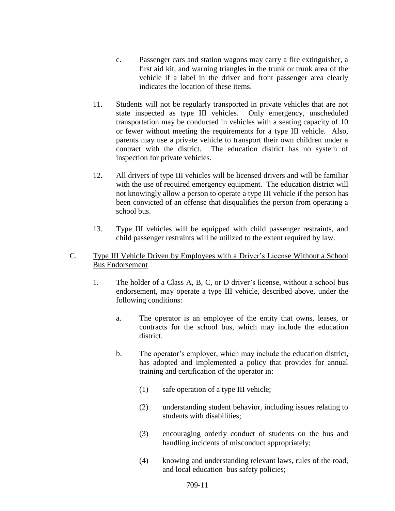- c. Passenger cars and station wagons may carry a fire extinguisher, a first aid kit, and warning triangles in the trunk or trunk area of the vehicle if a label in the driver and front passenger area clearly indicates the location of these items.
- 11. Students will not be regularly transported in private vehicles that are not state inspected as type III vehicles. Only emergency, unscheduled transportation may be conducted in vehicles with a seating capacity of 10 or fewer without meeting the requirements for a type III vehicle. Also, parents may use a private vehicle to transport their own children under a contract with the district. The education district has no system of inspection for private vehicles.
- 12. All drivers of type III vehicles will be licensed drivers and will be familiar with the use of required emergency equipment. The education district will not knowingly allow a person to operate a type III vehicle if the person has been convicted of an offense that disqualifies the person from operating a school bus.
- 13. Type III vehicles will be equipped with child passenger restraints, and child passenger restraints will be utilized to the extent required by law.
- C. Type III Vehicle Driven by Employees with a Driver's License Without a School Bus Endorsement
	- 1. The holder of a Class A, B, C, or D driver's license, without a school bus endorsement, may operate a type III vehicle, described above, under the following conditions:
		- a. The operator is an employee of the entity that owns, leases, or contracts for the school bus, which may include the education district.
		- b. The operator's employer, which may include the education district, has adopted and implemented a policy that provides for annual training and certification of the operator in:
			- (1) safe operation of a type III vehicle;
			- (2) understanding student behavior, including issues relating to students with disabilities;
			- (3) encouraging orderly conduct of students on the bus and handling incidents of misconduct appropriately;
			- (4) knowing and understanding relevant laws, rules of the road, and local education bus safety policies;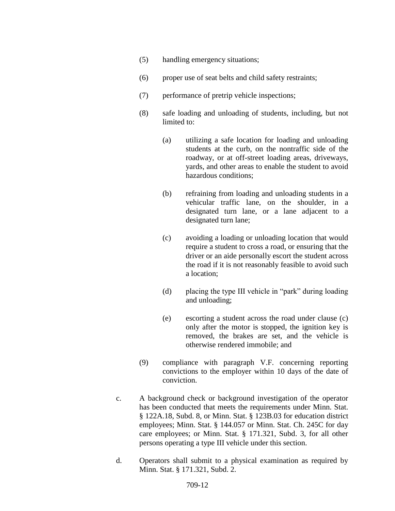- (5) handling emergency situations;
- (6) proper use of seat belts and child safety restraints;
- (7) performance of pretrip vehicle inspections;
- (8) safe loading and unloading of students, including, but not limited to:
	- (a) utilizing a safe location for loading and unloading students at the curb, on the nontraffic side of the roadway, or at off-street loading areas, driveways, yards, and other areas to enable the student to avoid hazardous conditions;
	- (b) refraining from loading and unloading students in a vehicular traffic lane, on the shoulder, in a designated turn lane, or a lane adjacent to a designated turn lane;
	- (c) avoiding a loading or unloading location that would require a student to cross a road, or ensuring that the driver or an aide personally escort the student across the road if it is not reasonably feasible to avoid such a location;
	- (d) placing the type III vehicle in "park" during loading and unloading;
	- (e) escorting a student across the road under clause (c) only after the motor is stopped, the ignition key is removed, the brakes are set, and the vehicle is otherwise rendered immobile; and
- (9) compliance with paragraph V.F. concerning reporting convictions to the employer within 10 days of the date of conviction.
- c. A background check or background investigation of the operator has been conducted that meets the requirements under Minn. Stat. § 122A.18, Subd. 8, or Minn. Stat. § 123B.03 for education district employees; Minn. Stat. § 144.057 or Minn. Stat. Ch. 245C for day care employees; or Minn. Stat. § 171.321, Subd. 3, for all other persons operating a type III vehicle under this section.
- d. Operators shall submit to a physical examination as required by Minn. Stat. § 171.321, Subd. 2.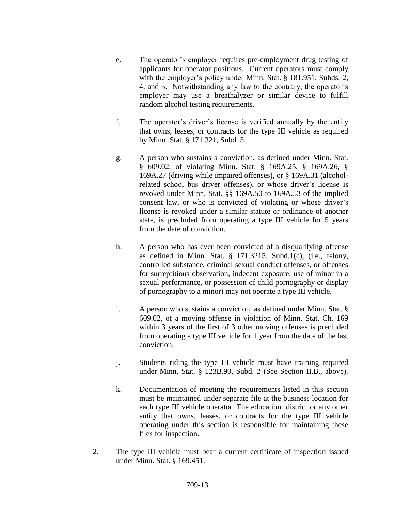- e. The operator's employer requires pre-employment drug testing of applicants for operator positions. Current operators must comply with the employer's policy under Minn. Stat. § 181.951, Subds. 2, 4, and 5. Notwithstanding any law to the contrary, the operator's employer may use a breathalyzer or similar device to fulfill random alcohol testing requirements.
- f. The operator's driver's license is verified annually by the entity that owns, leases, or contracts for the type III vehicle as required by Minn. Stat. § 171.321, Subd. 5.
- g. A person who sustains a conviction, as defined under Minn. Stat. § 609.02, of violating Minn. Stat. § 169A.25, § 169A.26, § 169A.27 (driving while impaired offenses), or § 169A.31 (alcoholrelated school bus driver offenses), or whose driver's license is revoked under Minn. Stat. §§ 169A.50 to 169A.53 of the implied consent law, or who is convicted of violating or whose driver's license is revoked under a similar statute or ordinance of another state, is precluded from operating a type III vehicle for 5 years from the date of conviction.
- h. A person who has ever been convicted of a disqualifying offense as defined in Minn. Stat. § 171.3215, Subd.1(c), (i.e., felony, controlled substance, criminal sexual conduct offenses, or offenses for surreptitious observation, indecent exposure, use of minor in a sexual performance, or possession of child pornography or display of pornography to a minor) may not operate a type III vehicle.
- i. A person who sustains a conviction, as defined under Minn. Stat. § 609.02, of a moving offense in violation of Minn. Stat. Ch. 169 within 3 years of the first of 3 other moving offenses is precluded from operating a type III vehicle for 1 year from the date of the last conviction.
- j. Students riding the type III vehicle must have training required under Minn. Stat. § 123B.90, Subd. 2 (See Section II.B., above).
- k. Documentation of meeting the requirements listed in this section must be maintained under separate file at the business location for each type III vehicle operator. The education district or any other entity that owns, leases, or contracts for the type III vehicle operating under this section is responsible for maintaining these files for inspection.
- 2. The type III vehicle must bear a current certificate of inspection issued under Minn. Stat. § 169.451.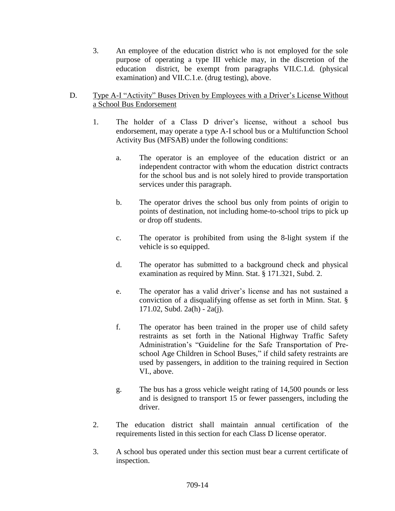3. An employee of the education district who is not employed for the sole purpose of operating a type III vehicle may, in the discretion of the education district, be exempt from paragraphs VII.C.1.d. (physical examination) and VII.C.1.e. (drug testing), above.

## D. Type A-I "Activity" Buses Driven by Employees with a Driver's License Without a School Bus Endorsement

- 1. The holder of a Class D driver's license, without a school bus endorsement, may operate a type A-I school bus or a Multifunction School Activity Bus (MFSAB) under the following conditions:
	- a. The operator is an employee of the education district or an independent contractor with whom the education district contracts for the school bus and is not solely hired to provide transportation services under this paragraph.
	- b. The operator drives the school bus only from points of origin to points of destination, not including home-to-school trips to pick up or drop off students.
	- c. The operator is prohibited from using the 8-light system if the vehicle is so equipped.
	- d. The operator has submitted to a background check and physical examination as required by Minn. Stat. § 171.321, Subd. 2.
	- e. The operator has a valid driver's license and has not sustained a conviction of a disqualifying offense as set forth in Minn. Stat. § 171.02, Subd. 2a(h) - 2a(j).
	- f. The operator has been trained in the proper use of child safety restraints as set forth in the National Highway Traffic Safety Administration's "Guideline for the Safe Transportation of Preschool Age Children in School Buses," if child safety restraints are used by passengers, in addition to the training required in Section VI., above.
	- g. The bus has a gross vehicle weight rating of 14,500 pounds or less and is designed to transport 15 or fewer passengers, including the driver.
- 2. The education district shall maintain annual certification of the requirements listed in this section for each Class D license operator.
- 3. A school bus operated under this section must bear a current certificate of inspection.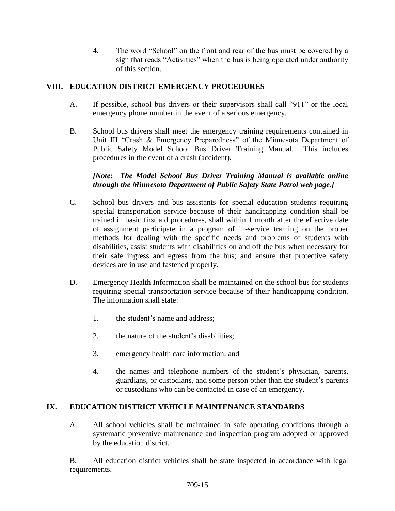4. The word "School" on the front and rear of the bus must be covered by a sign that reads "Activities" when the bus is being operated under authority of this section.

# **VIII. EDUCATION DISTRICT EMERGENCY PROCEDURES**

- A. If possible, school bus drivers or their supervisors shall call "911" or the local emergency phone number in the event of a serious emergency.
- B. School bus drivers shall meet the emergency training requirements contained in Unit III "Crash & Emergency Preparedness" of the Minnesota Department of Public Safety Model School Bus Driver Training Manual. This includes procedures in the event of a crash (accident).

## *[Note: The Model School Bus Driver Training Manual is available online through the Minnesota Department of Public Safety State Patrol web page.]*

- C. School bus drivers and bus assistants for special education students requiring special transportation service because of their handicapping condition shall be trained in basic first aid procedures, shall within 1 month after the effective date of assignment participate in a program of in-service training on the proper methods for dealing with the specific needs and problems of students with disabilities, assist students with disabilities on and off the bus when necessary for their safe ingress and egress from the bus; and ensure that protective safety devices are in use and fastened properly.
- D. Emergency Health Information shall be maintained on the school bus for students requiring special transportation service because of their handicapping condition. The information shall state:
	- 1. the student's name and address;
	- 2. the nature of the student's disabilities;
	- 3. emergency health care information; and
	- 4. the names and telephone numbers of the student's physician, parents, guardians, or custodians, and some person other than the student's parents or custodians who can be contacted in case of an emergency.

# **IX. EDUCATION DISTRICT VEHICLE MAINTENANCE STANDARDS**

A. All school vehicles shall be maintained in safe operating conditions through a systematic preventive maintenance and inspection program adopted or approved by the education district.

B. All education district vehicles shall be state inspected in accordance with legal requirements.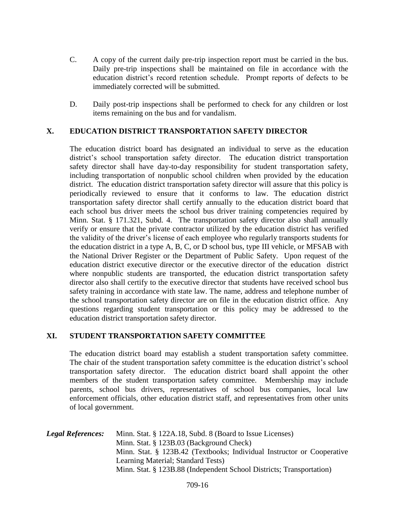- C. A copy of the current daily pre-trip inspection report must be carried in the bus. Daily pre-trip inspections shall be maintained on file in accordance with the education district's record retention schedule. Prompt reports of defects to be immediately corrected will be submitted.
- D. Daily post-trip inspections shall be performed to check for any children or lost items remaining on the bus and for vandalism.

### **X. EDUCATION DISTRICT TRANSPORTATION SAFETY DIRECTOR**

The education district board has designated an individual to serve as the education district's school transportation safety director. The education district transportation safety director shall have day-to-day responsibility for student transportation safety, including transportation of nonpublic school children when provided by the education district. The education district transportation safety director will assure that this policy is periodically reviewed to ensure that it conforms to law. The education district transportation safety director shall certify annually to the education district board that each school bus driver meets the school bus driver training competencies required by Minn. Stat. § 171.321, Subd. 4. The transportation safety director also shall annually verify or ensure that the private contractor utilized by the education district has verified the validity of the driver's license of each employee who regularly transports students for the education district in a type A, B, C, or D school bus, type III vehicle, or MFSAB with the National Driver Register or the Department of Public Safety. Upon request of the education district executive director or the executive director of the education district where nonpublic students are transported, the education district transportation safety director also shall certify to the executive director that students have received school bus safety training in accordance with state law. The name, address and telephone number of the school transportation safety director are on file in the education district office. Any questions regarding student transportation or this policy may be addressed to the education district transportation safety director.

#### **XI. STUDENT TRANSPORTATION SAFETY COMMITTEE**

The education district board may establish a student transportation safety committee. The chair of the student transportation safety committee is the education district's school transportation safety director. The education district board shall appoint the other members of the student transportation safety committee. Membership may include parents, school bus drivers, representatives of school bus companies, local law enforcement officials, other education district staff, and representatives from other units of local government.

*Legal References:* Minn. Stat. § 122A.18, Subd. 8 (Board to Issue Licenses) Minn. Stat. § 123B.03 (Background Check) Minn. Stat. § 123B.42 (Textbooks; Individual Instructor or Cooperative Learning Material; Standard Tests) Minn. Stat. § 123B.88 (Independent School Districts; Transportation)